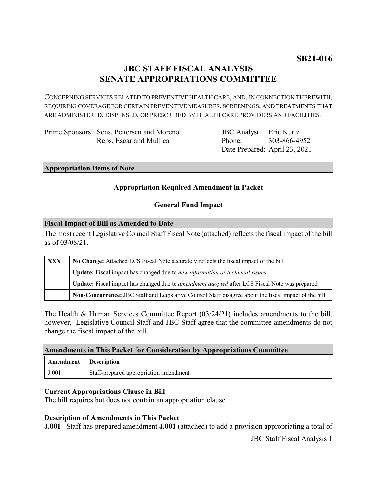# **JBC STAFF FISCAL ANALYSIS SENATE APPROPRIATIONS COMMITTEE**

CONCERNING SERVICES RELATED TO PREVENTIVE HEALTH CARE, AND, IN CONNECTION THEREWITH, REQUIRING COVERAGE FOR CERTAIN PREVENTIVE MEASURES, SCREENINGS, AND TREATMENTS THAT ARE ADMINISTERED, DISPENSED, OR PRESCRIBED BY HEALTH CARE PROVIDERS AND FACILITIES.

Prime Sponsors: Sens. Pettersen and Moreno Reps. Esgar and Mullica

JBC Analyst: Eric Kurtz Phone: Date Prepared: April 23, 2021 303-866-4952

#### **Appropriation Items of Note**

# **Appropriation Required Amendment in Packet**

### **General Fund Impact**

#### **Fiscal Impact of Bill as Amended to Date**

The most recent Legislative Council Staff Fiscal Note (attached) reflects the fiscal impact of the bill as of 03/08/21.

| XXX | No Change: Attached LCS Fiscal Note accurately reflects the fiscal impact of the bill                 |
|-----|-------------------------------------------------------------------------------------------------------|
|     | Update: Fiscal impact has changed due to new information or technical issues                          |
|     | Update: Fiscal impact has changed due to <i>amendment adopted</i> after LCS Fiscal Note was prepared  |
|     | Non-Concurrence: JBC Staff and Legislative Council Staff disagree about the fiscal impact of the bill |

The Health & Human Services Committee Report (03/24/21) includes amendments to the bill, however, Legislative Council Staff and JBC Staff agree that the committee amendments do not change the fiscal impact of the bill.

### **Amendments in This Packet for Consideration by Appropriations Committee**

| Amendment Description |                                        |
|-----------------------|----------------------------------------|
| J.001                 | Staff-prepared appropriation amendment |

### **Current Appropriations Clause in Bill**

The bill requires but does not contain an appropriation clause.

### **Description of Amendments in This Packet**

**J.001** Staff has prepared amendment **J.001** (attached) to add a provision appropriating a total of

JBC Staff Fiscal Analysis 1